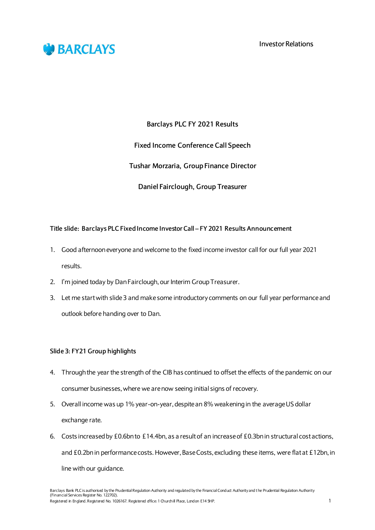



**Barclays PLC FY 2021 Results**

**Fixed Income Conference Call Speech**

**Tushar Morzaria, Group Finance Director**

**Daniel Fairclough, Group Treasurer**

# **Title slide: Barclays PLC Fixed Income Investor Call – FY 2021 Results Announcement**

- 1. Good afternoon everyone and welcome to the fixed income investor call for our full year 2021 results.
- 2. I'm joined today by Dan Fairclough, our Interim Group Treasurer.
- 3. Let me start with slide 3 and make some introductory comments on our full year performanceand outlook before handing over to Dan.

# **Slide 3: FY21 Group highlights**

- 4. Through the year the strength of the CIB has continued to offset the effects of the pandemic on our consumer businesses, where we are now seeing initial signs of recovery.
- 5. Overall income was up 1% year-on-year, despite an 8% weakening in the average US dollar exchange rate.
- 6. Costs increased by £0.6bn to £14.4bn, as a result of an increase of £0.3bn in structural cost actions, and £0.2bn in performance costs. However, Base Costs, excluding these items, were flat at £12bn, in line with our guidance.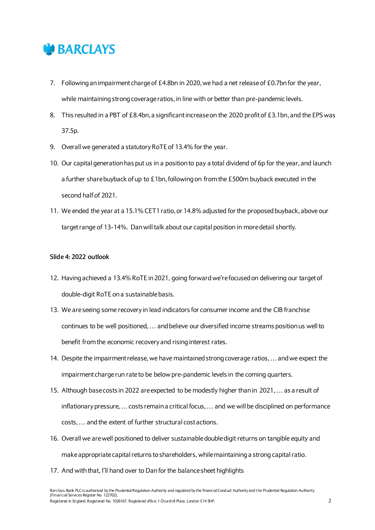

- 7. Following an impairment charge of £4.8bn in 2020, we had a net release of £0.7bn for the year, while maintaining strong coverage ratios, in line with or better than pre-pandemic levels.
- 8. This resulted in a PBT of £8.4bn, a significant increase on the 2020 profit of £3.1bn, and the EPS was 37.5p.
- 9. Overall we generated a statutory RoTE of 13.4% for the year.
- 10. Our capital generation has put us in a position to pay a total dividend of 6p for the year, and launch a further share buyback of up to £1bn, following on from the £500m buyback executed in the second half of 2021.
- 11. We ended the year at a 15.1% CET1 ratio, or 14.8% adjusted for the proposed buyback, above our target range of 13-14%. Danwill talk about our capital position in more detail shortly.

# **Slide 4: 2022 outlook**

- 12. Having achieved a 13.4% RoTE in 2021, going forwardwe're focused on delivering our target of double-digit RoTE on a sustainable basis.
- 13. We are seeing some recovery in lead indicators for consumer income and the CIB franchise continues to be well positioned, … and believe our diversified income streams position us well to benefit from the economic recovery and rising interest rates.
- 14. Despite the impairment release, we have maintained strong coverage ratios, … and we expect the impairment charge run rate to be below pre-pandemic levels in the coming quarters.
- 15. Although base costs in 2022 are expected to be modestly higher than in 2021, … as a result of inflationary pressure, … costs remain a critical focus, … and we will be disciplined on performance costs, ... and the extent of further structural cost actions.
- 16. Overall we are well positioned to deliver sustainable double digit returns on tangible equity and makeappropriate capital returns to shareholders, while maintaining a strong capital ratio.
- 17. And with that, I'll hand over to Dan for the balance sheet highlights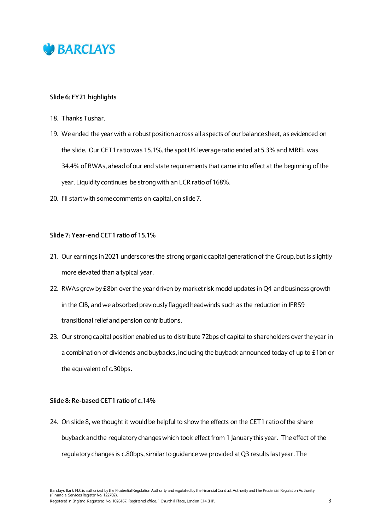

# **Slide 6: FY21 highlights**

- 18. Thanks Tushar.
- 19. We ended the year with a robust position across all aspects of our balance sheet, as evidenced on the slide. Our CET1 ratio was 15.1%, the spot UK leverage ratio ended at 5.3% and MREL was 34.4% of RWAs, ahead of our end state requirements that came into effect at the beginning of the year. Liquidity continues be strong with an LCR ratio of 168%.
- 20. I'll start with some comments on capital, on slide 7.

## **Slide 7: Year-end CET1 ratio of 15.1%**

- 21. Our earnings in 2021 underscores the strong organic capital generation of the Group, but is slightly more elevated than a typical year.
- 22. RWAs grew by £8bn over the year driven by market risk model updates in Q4 and business growth in the CIB, and we absorbed previously flagged headwinds such as the reduction in IFRS9 transitional relief and pension contributions.
- 23. Our strong capital position enabled us to distribute 72bps of capital to shareholders over the year in a combination of dividends and buybacks, including the buyback announced today of up to £1bn or the equivalent of c.30bps.

## **Slide 8: Re-based CET1 ratio of c.14%**

24. On slide 8, we thought it would be helpful to show the effects on the CET1 ratioof the share buyback and the regulatory changes which took effect from 1 January this year. The effect of the regulatory changes is c.80bps, similar to guidance we provided at Q3 results last year. The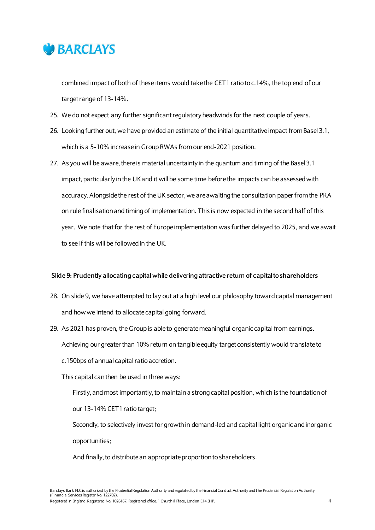

combined impact of both of these items would take the CET1 ratio to c.14%, the top end of our target range of 13-14%.

- 25. We do not expect any further significant regulatory headwinds for the next couple of years.
- 26. Looking further out, we have provided an estimate of the initial quantitative impact from Basel 3.1, which is a 5-10% increase in Group RWAs from our end-2021 position.
- 27. As you will be aware, there is material uncertainty in the quantum and timing of the Basel 3.1 impact, particularly in the UK and it will be some time before the impacts can be assessed with accuracy.Alongside the rest of the UK sector, we are awaiting the consultation paper from the PRA on rule finalisation and timing of implementation. This is now expected in the second half of this year. We note that for the rest of Europe implementation was further delayed to 2025, and we await to see if this will be followed in the UK.

## **Slide 9: Prudently allocating capital while delivering attractive return of capital to shareholders**

- 28. On slide 9, we have attempted to lay out at a high level our philosophy toward capital management and how we intend to allocate capital going forward.
- 29. As 2021 has proven, the Group is able to generate meaningful organic capital from earnings. Achieving our greater than 10% return on tangible equity target consistently would translateto c.150bps of annual capital ratio accretion.

# This capital can then be used in three ways:

Firstly, and most importantly, to maintain a strong capital position, which is the foundation of

our 13-14% CET1 ratio target;

Secondly, to selectively invest for growth in demand-led and capital light organic and inorganic opportunities;

And finally, to distribute an appropriate proportion to shareholders.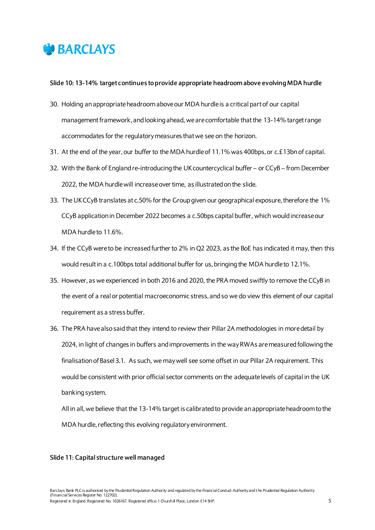

## **Slide 10: 13-14% target continues to provide appropriate headroom above evolving MDA hurdle**

- 30. Holding an appropriate headroom above our MDA hurdle is a critical part of our capital management framework, and looking ahead, we are comfortable that the 13-14% target range accommodates for the regulatory measures that we see on the horizon.
- 31. At the end of the year, our buffer to the MDA hurdle of 11.1% was 400bps, or c.£13bnof capital.
- 32. With the Bank of England re-introducing the UK countercyclical buffer or CCyB from December 2022, the MDA hurdle will increase over time, as illustrated on the slide.
- 33. The UK CCyB translates at c.50% for the Group given our geographical exposure, therefore the 1% CCyB application in December 2022 becomes a c.50bps capital buffer, which would increase our MDA hurdle to 11.6%.
- 34. If the CCyB were to be increased further to 2% in Q2 2023, as the BoE has indicated it may, then this would result in a c.100bps total additional buffer for us, bringing the MDA hurdle to 12.1%.
- 35. However, as we experienced in both 2016 and 2020, the PRA moved swiftly to remove the CCyB in the event of a real or potential macroeconomic stress, and so we do view this element of our capital requirement as a stress buffer.
- 36. The PRA have also said that they intend to review their Pillar 2A methodologies in more detail by 2024, in light of changes in buffers and improvements in the way RWAs are measured following the finalisation of Basel 3.1. As such, we may well see some offset in our Pillar 2A requirement. This would be consistent with prior official sector comments on the adequate levels of capital in the UK banking system.

All in all, we believe that the 13-14% target is calibrated to provide an appropriate headroom to the MDA hurdle, reflecting this evolving regulatory environment.

## **Slide 11: Capital structure well managed**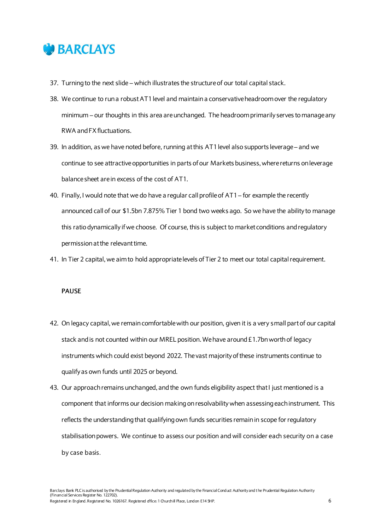

- 37. Turning to the next slide which illustrates the structure of our total capital stack.
- 38. We continue to run a robust AT1 level and maintain a conservative headroom over the regulatory minimum – our thoughts in this area areunchanged. The headroom primarily serves to manage any RWA and FX fluctuations.
- 39. In addition, as we have noted before, running at this AT1 level also supports leverage and we continue to see attractiveopportunities in parts of our Markets business, where returns on leverage balance sheet are in excess of the cost of AT1.
- 40. Finally, I would note that we do have a regular call profile of AT1 for example the recently announced call of our \$1.5bn 7.875% Tier 1 bond two weeks ago. So we have the ability to manage this ratio dynamically if we choose. Of course, this is subject to market conditions and regulatory permissionat the relevant time.
- 41. In Tier 2 capital, we aim to hold appropriate levels of Tier 2 to meet our total capital requirement.

## **PAUSE**

- 42. On legacy capital, we remain comfortable with our position, given it is a very small part of our capital stack and is not counted within our MREL position.We have around £1.7bn worth of legacy instruments which could exist beyond 2022. The vast majority of these instruments continue to qualify as own funds until 2025 or beyond.
- 43. Our approach remains unchanged, and the own funds eligibility aspect that I just mentioned is a component that informs our decision making on resolvabilitywhen assessing each instrument. This reflects the understanding that qualifying own funds securities remain in scope for regulatory stabilisation powers. We continue to assess our position and will consider each security on a case by case basis.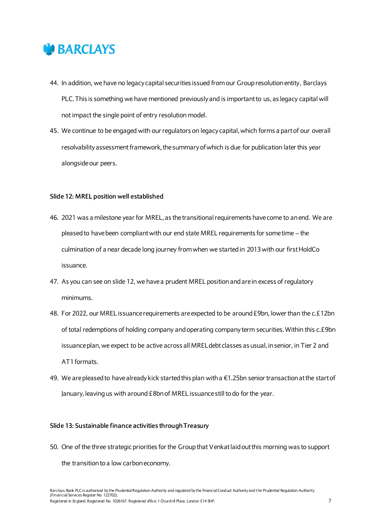

- 44. In addition, we have no legacy capital securities issued from our Group resolution entity, Barclays PLC. This is something we have mentioned previously and is important to us, as legacy capital will not impact the single point of entry resolution model.
- 45. We continue to be engaged with our regulators on legacy capital, which forms a part of our overall resolvability assessment framework, the summary of which is due for publication later this year alongside our peers.

## **Slide 12: MREL position well established**

- 46. 2021 was a milestone year for MREL, as the transitional requirements have come to an end. We are pleased to have been compliant with our end state MREL requirements for some time – the culmination of a near decade long journey from when we started in 2013with our first HoldCo issuance.
- 47. As you can see on slide 12, we have a prudent MREL position and are in excess of regulatory minimums.
- 48. For 2022, our MREL issuance requirements are expected to be around £9bn, lower than the c.£12bn of total redemptions of holding company and operating company term securities. Within this c.£9bn issuance plan, we expect to be active across all MREL debt classes as usual, in senior, in Tier 2 and AT1 formats.
- 49. We are pleased to have already kick started this plan with a  $\epsilon$ 1.25bn senior transaction at the start of January, leaving us with around £8bnof MREL issuance still to do for the year.

## **Slide 13: Sustainable finance activities through Treasury**

50. One of the three strategic priorities for the Group that Venkat laid out this morning was to support the transition to a low carbon economy.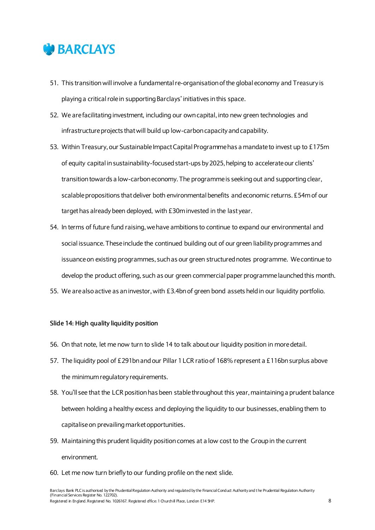

- 51. This transition will involve a fundamental re-organisation of the global economy and Treasury is playing a critical role in supporting Barclays' initiatives in this space.
- 52. We are facilitating investment, including our own capital, into new green technologies and infrastructure projects that will build up low-carbon capacity and capability.
- 53. Within Treasury, our Sustainable Impact Capital Programme has a mandate to invest up to £175m of equity capital in sustainability-focused start-ups by 2025, helping to accelerate our clients' transition towards a low-carbon economy. The programme is seeking out and supporting clear, scalable propositions that deliver both environmental benefits and economic returns. £54m of our target has already been deployed, with £30m invested in the last year.
- 54. In terms of future fund raising, we have ambitions to continue to expand our environmental and social issuance. These include the continued building out of our green liability programmes and issuance on existing programmes, such as our green structured notes programme. We continue to develop the product offering, such as our green commercial paper programme launched this month.
- 55. We are also active as an investor, with £3.4bn of green bond assets heldin our liquidity portfolio.

## **Slide 14: High quality liquidity position**

- 56. On that note, let me now turn to slide 14 to talk about our liquidity position in more detail.
- 57. The liquidity pool of £291bnand our Pillar 1 LCR ratio of 168% represent a £116bn surplus above the minimumregulatory requirements.
- 58. You'll see that the LCR position has been stable throughout this year, maintaining a prudent balance between holding a healthy excess and deploying the liquidity to our businesses, enabling them to capitalise on prevailing market opportunities.
- 59. Maintaining this prudent liquidity position comes at a low cost to the Groupin the current environment.
- 60. Let me now turn briefly to our funding profile on the next slide.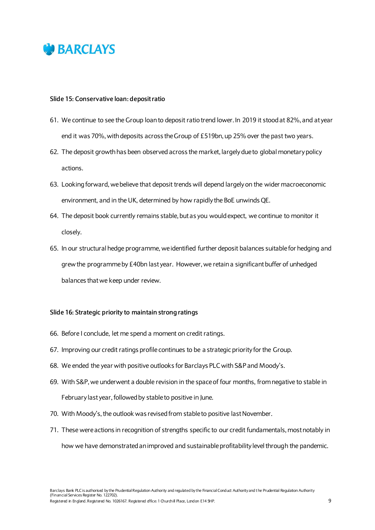

## **Slide 15: Conservative loan: deposit ratio**

- 61. We continue to see the Group loan to deposit ratio trend lower. In 2019 it stood at 82%, and at year end it was 70%, with deposits across the Group of £519bn, up 25% over the past two years.
- 62. The deposit growth has been observed across the market, largely due to global monetary policy actions.
- 63. Looking forward, we believe that deposit trends will depend largely on the wider macroeconomic environment, and in the UK, determined by how rapidly the BoE unwinds QE.
- 64. The deposit book currently remains stable, but as you would expect, we continue to monitor it closely.
- 65. In our structural hedge programme, we identified further deposit balances suitable for hedging and grew the programme by £40bn last year. However, we retain a significant buffer of unhedged balances that we keep under review.

## **Slide 16: Strategic priority to maintain strong ratings**

- 66. Before I conclude, let me spend a moment on credit ratings.
- 67. Improving our credit ratings profile continues to be a strategic priority for the Group.
- 68. We ended the year with positive outlooks for Barclays PLC with S&P and Moody's.
- 69. With S&P,we underwent a double revision in the space of four months, from negative to stable in February last year, followed by stable to positive in June.
- 70. With Moody's, the outlook was revised from stable to positive last November.
- 71. These were actions in recognition of strengths specific to our credit fundamentals, most notably in how we have demonstrated an improved and sustainable profitability level through the pandemic.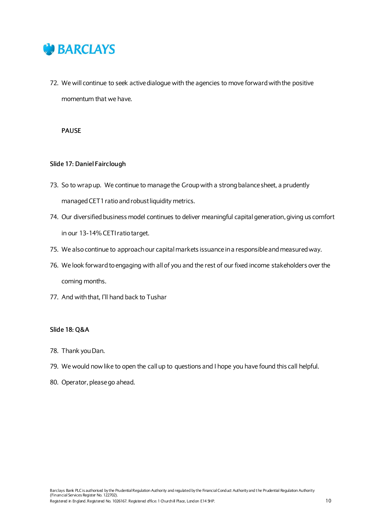

72. We will continue to seek active dialogue with the agencies to move forward with the positive momentum that we have.

**PAUSE**

# **Slide 17: Daniel Fairclough**

- 73. So to wrap up. We continue to manage the Groupwith a strong balance sheet, a prudently managedCET1 ratio and robust liquidity metrics.
- 74. Our diversified business model continues to deliver meaningful capital generation, giving us comfort in our 13-14% CETI ratio target.
- 75. We also continue to approach our capital markets issuance in a responsible andmeasured way.
- 76. We look forward toengaging with all of you and the rest of our fixed income stakeholders over the coming months.
- 77. And with that, I'll hand back to Tushar

## **Slide 18: Q&A**

- 78. Thank you Dan.
- 79. We would now like to open the call up to questions and I hope you have found this call helpful.
- 80. Operator, please go ahead.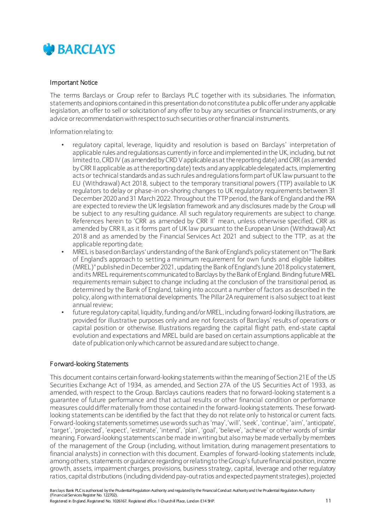

# Important Notice

The terms Barclays or Group refer to Barclays PLC together with its subsidiaries. The information, statements and opinions contained in this presentation do notconstitutea public offerunder any applicable legislation, an offer to sell or solicitation of any offer to buy any securities or financial instruments, or any advice or recommendation with respect to such securities or other financial instruments.

Information relating to:

- regulatory capital, leverage, liquidity and resolution is based on Barclays' interpretation of applicable rules and regulationsas currently in force and implemented in the UK, including, but not limited to, CRD IV (as amended byCRD V applicableasat thereporting date) andCRR(as amended by CRR II applicable as at the reporting date) texts and any applicable delegated acts, implementing acts or technical standards and as such rules and regulationsformpart ofUK law pursuant to the EU (Withdrawal) Act 2018, subject to the temporary transitional powers (TTP) available to UK regulators to delay or phase-in on-shoring changes to UK regulatory requirements between 31 December 2020 and 31 March 2022. Throughout the TTP period, the Bank of England and the PRA are expected to review the UK legislation framework and any disclosures made by the Group will be subject to any resulting guidance. All such regulatory requirements are subject to change. References herein to 'CRR as amended by CRR II' mean, unless otherwise specified, CRR as amended by CRR II, as it forms part of UK law pursuant to the European Union (Withdrawal) Act 2018 and as amended by the Financial Services Act 2021 and subject to the TTP, as at the applicable reporting date;
- MREL is based onBarclays'understanding ofthe Bank of England's policy statement on"The Bank of England's approach to setting a minimum requirement for own funds and eligible liabilities (MREL)" published inDecember2021, updating the Bankof England's June 2018 policy statement, and its MREL requirements communicated to Barclays by the Bank of England. Binding future MREL requirements remain subject to change including at the conclusion of the transitional period, as determined by the Bank of England, taking into account a number of factors as described in the policy, alongwith international developments. The Pillar2A requirement is also subject to at least annual review;
- future regulatory capital, liquidity, funding and/or MREL, including forward-looking illustrations, are provided for illustrative purposes only and are not forecasts of Barclays' results of operations or capital position or otherwise. Illustrations regarding the capital flight path, end-state capital evolution and expectations and MREL build are based on certain assumptions applicable at the date of publication onlywhich cannot be assured and are subjectto change.

# Forward-looking Statements

This document contains certain forward-looking statements within the meaning of Section 21E of the US Securities Exchange Act of 1934, as amended, and Section 27A of the US Securities Act of 1933, as amended, with respect to the Group. Barclays cautions readers that no forward-looking statement is a guarantee of future performance and that actual results or other financial condition or performance measures could differ materially from those contained in the forward-looking statements. These forwardlooking statements can be identified by the fact that they do not relate only to historical or current facts. Forward-looking statements sometimes usewords such as 'may','will', 'seek', 'continue', 'aim', 'anticipate', 'target', 'projected', 'expect', 'estimate', 'intend', 'plan', 'goal', 'believe', 'achieve' or other words of similar meaning. Forward-looking statementscan be made inwriting but also may be made verbally bymembers of the management of the Group (including, without limitation, during management presentations to financial analysts) in connection with this document. Examples of forward-looking statements include, among others, statements orguidance regarding orrelatingto theGroup's futurefinancial position, income growth, assets, impairment charges, provisions, business strategy, capital, leverage and other regulatory ratios, capital distributions (including dividend pay-outratios and expected payment strategies), projected